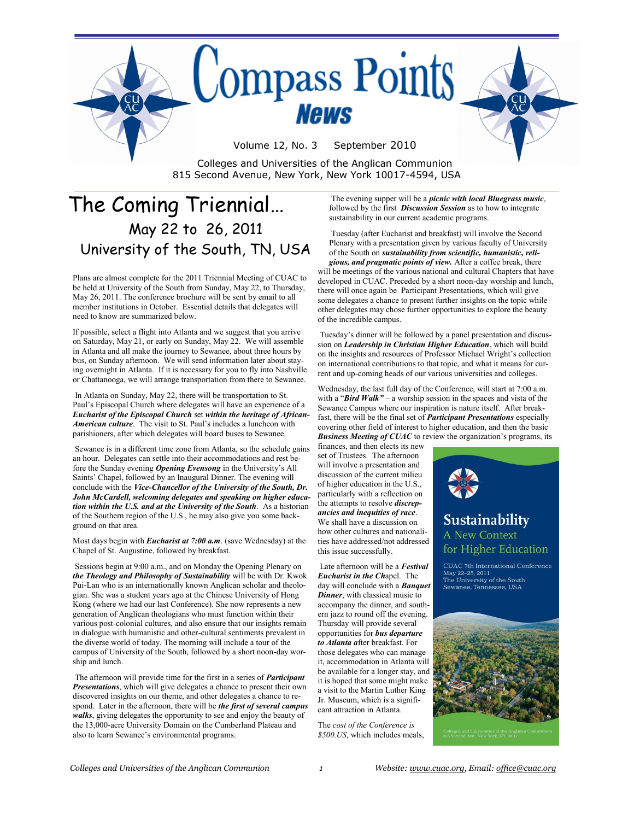

The Coming Triennial… May 22 to 26, 2011 University of the South, TN, USA

Plans are almost complete for the 2011 Triennial Meeting of CUAC to be held at University of the South from Sunday, May 22, to Thursday, May 26, 2011. The conference brochure will be sent by email to all member institutions in October. Essential details that delegates will need to know are summarized below.

If possible, select a flight into Atlanta and we suggest that you arrive on Saturday, May 21, or early on Sunday, May 22. We will assemble in Atlanta and all make the journey to Sewanee, about three hours by bus, on Sunday afternoon. We will send information later about staying overnight in Atlanta. If it is necessary for you to fly into Nashville or Chattanooga, we will arrange transportation from there to Sewanee.

In Atlanta on Sunday, May 22, there will be transportation to St. Paul"s Episcopal Church where delegates will have an experience of a *Eucharist of the Episcopal Church* set *within the heritage of African-American culture*. The visit to St. Paul"s includes a luncheon with parishioners, after which delegates will board buses to Sewanee.

Sewanee is in a different time zone from Atlanta, so the schedule gains an hour. Delegates can settle into their accommodations and rest before the Sunday evening **Opening Evensong** in the University's All Saints' Chapel, followed by an Inaugural Dinner. The evening will conclude with the *Vice-Chancellor of the University of the South, Dr. John McCardell, welcoming delegates and speaking on higher education within the U.S. and at the University of the South*. As a historian of the Southern region of the U.S., he may also give you some background on that area.

Most days begin with *Eucharist at 7:00 a.m*. (save Wednesday) at the Chapel of St. Augustine, followed by breakfast.

Sessions begin at 9:00 a.m., and on Monday the Opening Plenary on *the Theology and Philosophy of Sustainability* will be with Dr. Kwok Pui-Lan who is an internationally known Anglican scholar and theologian. She was a student years ago at the Chinese University of Hong Kong (where we had our last Conference). She now represents a new generation of Anglican theologians who must function within their various post-colonial cultures, and also ensure that our insights remain in dialogue with humanistic and other-cultural sentiments prevalent in the diverse world of today. The morning will include a tour of the campus of University of the South, followed by a short noon-day worship and lunch.

The afternoon will provide time for the first in a series of *Participant Presentations*, which will give delegates a chance to present their own discovered insights on our theme, and other delegates a chance to respond. Later in the afternoon, there will be *the first of several campus walks*, giving delegates the opportunity to see and enjoy the beauty of the 13,000-acre University Domain on the Cumberland Plateau and also to learn Sewanee"s environmental programs.

The evening supper will be a *picnic with local Bluegrass music*, followed by the first *Discussion Session* as to how to integrate sustainability in our current academic programs.

Tuesday (after Eucharist and breakfast) will involve the Second Plenary with a presentation given by various faculty of University of the South on *sustainability from scientific, humanistic, religious, and pragmatic points of view.* After a coffee break, there will be meetings of the various national and cultural Chapters that have developed in CUAC. Preceded by a short noon-day worship and lunch, there will once again be Participant Presentations, which will give some delegates a chance to present further insights on the topic while

other delegates may chose further opportunities to explore the beauty of the incredible campus. Tuesday"s dinner will be followed by a panel presentation and discussion on *Leadership in Christian Higher Education*, which will build

on the insights and resources of Professor Michael Wright's collection on international contributions to that topic, and what it means for current and up-coming heads of our various universities and colleges. Wednesday, the last full day of the Conference, will start at 7:00 a.m.

with a "*Bird Walk"* – a worship session in the spaces and vista of the Sewanee Campus where our inspiration is nature itself. After breakfast, there will be the final set of *Participant Presentations* especially covering other field of interest to higher education, and then the basic **Business Meeting of CUAC** to review the organization's programs, its

finances, and then elects its new set of Trustees. The afternoon will involve a presentation and discussion of the current milieu of higher education in the U.S., particularly with a reflection on the attempts to resolve *discrepancies and inequities of race*. We shall have a discussion on how other cultures and nationalities have addressed/not addressed this issue successfully.

Late afternoon will be a *Festival Eucharist in the Ch*apel. The day will conclude with a *Banquet Dinner*, with classical music to accompany the dinner, and southern jazz to round off the evening. Thursday will provide several opportunities for *bus departure to Atlanta a*fter breakfast. For those delegates who can manage it, accommodation in Atlanta will be available for a longer stay, and it is hoped that some might make a visit to the Martin Luther King Jr. Museum, which is a significant attraction in Atlanta.

The *cost of the Conference is \$500.US*, which includes meals,



May 22-25, 2011 The University of the South<br>Sewanee, Tennessee, USA

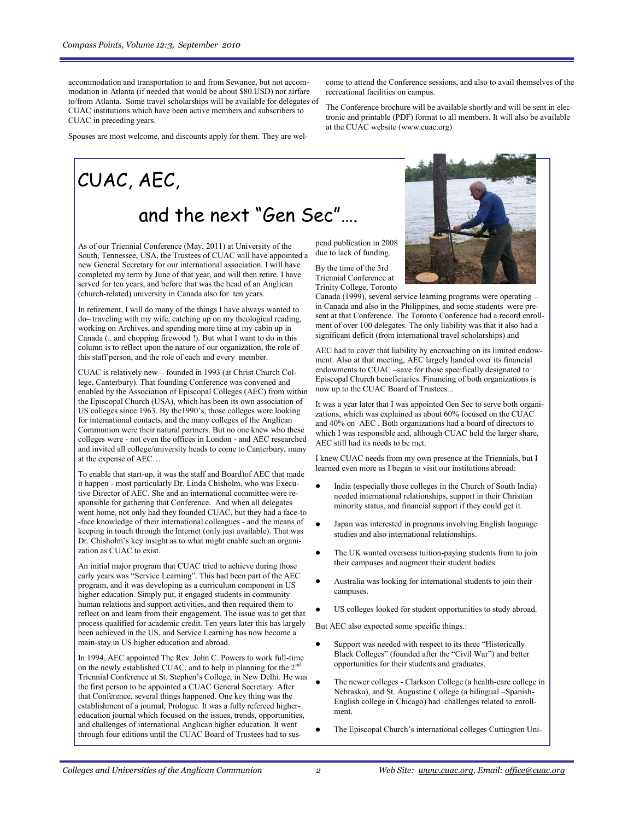accommodation and transportation to and from Sewanee, but not accommodation in Atlanta (if needed that would be about \$80.USD) nor airfare to/from Atlanta. Some travel scholarships will be available for delegates of CUAC institutions which have been active members and subscribers to CUAC in preceding years.

Spouses are most welcome, and discounts apply for them. They are wel-

CUAC, AEC,

### and the next "Gen Sec"….

As of our Triennial Conference (May, 2011) at University of the South, Tennessee, USA, the Trustees of CUAC will have appointed a new General Secretary for our international association. I will have completed my term by June of that year, and will then retire. I have served for ten years, and before that was the head of an Anglican (church-related) university in Canada also for ten years.

In retirement, I will do many of the things I have always wanted to do– traveling with my wife, catching up on my theological reading, working on Archives, and spending more time at my cabin up in Canada (.. and chopping firewood !). But what I want to do in this column is to reflect upon the nature of our organization, the role of this staff person, and the role of each and every member.

CUAC is relatively new – founded in 1993 (at Christ Church College, Canterbury). That founding Conference was convened and enabled by the Association of Episcopal Colleges (AEC) from within the Episcopal Church (USA), which has been its own association of US colleges since 1963. By the1990"s, those colleges were looking for international contacts, and the many colleges of the Anglican Communion were their natural partners. But no one knew who these colleges were - not even the offices in London - and AEC researched and invited all college/university heads to come to Canterbury, many at the expense of AEC…

To enable that start-up, it was the staff and Board)of AEC that made it happen - most particularly Dr. Linda Chisholm, who was Executive Director of AEC. She and an international committee were responsible for gathering that Conference. And when all delegates went home, not only had they founded CUAC, but they had a face-to -face knowledge of their international colleagues - and the means of keeping in touch through the Internet (only just available). That was Dr. Chisholm"s key insight as to what might enable such an organization as CUAC to exist.

An initial major program that CUAC tried to achieve during those early years was "Service Learning". This had been part of the AEC program, and it was developing as a curriculum component in US higher education. Simply put, it engaged students in community human relations and support activities, and then required them to reflect on and learn from their engagement. The issue was to get that process qualified for academic credit. Ten years later this has largely been achieved in the US, and Service Learning has now become a main-stay in US higher education and abroad.

In 1994, AEC appointed The Rev. John C. Powers to work full-time on the newly established CUAC, and to help in planning for the  $2<sup>nc</sup>$ Triennial Conference at St. Stephen"s College, in New Delhi. He was the first person to be appointed a CUAC General Secretary. After that Conference, several things happened. One key thing was the establishment of a journal, Prologue. It was a fully refereed highereducation journal which focused on the issues, trends, opportunities, and challenges of international Anglican higher education. It went through four editions until the CUAC Board of Trustees had to suscome to attend the Conference sessions, and also to avail themselves of the recreational facilities on campus.

The Conference brochure will be available shortly and will be sent in electronic and printable (PDF) format to all members. It will also be available at the CUAC website (www.cuac.org)

pend publication in 2008 due to lack of funding.

By the time of the 3rd Triennial Conference at Trinity College, Toronto

Canada (1999), several service learning programs were operating – in Canada and also in the Philippines, and some students were present at that Conference. The Toronto Conference had a record enrollment of over 100 delegates. The only liability was that it also had a significant deficit (from international travel scholarships) and

AEC had to cover that liability by encroaching on its limited endowment. Also at that meeting, AEC largely handed over its financial endowments to CUAC –save for those specifically designated to Episcopal Church beneficiaries. Financing of both organizations is now up to the CUAC Board of Trustees...

It was a year later that I was appointed Gen Sec to serve both organizations, which was explained as about 60% focused on the CUAC and 40% on AEC . Both organizations had a board of directors to which I was responsible and, although CUAC held the larger share, AEC still had its needs to be met.

I knew CUAC needs from my own presence at the Triennials, but I learned even more as I began to visit our institutions abroad:

- India (especially those colleges in the Church of South India) needed international relationships, support in their Christian minority status, and financial support if they could get it.
- Japan was interested in programs involving English language studies and also international relationships.
- The UK wanted overseas tuition-paying students from to join their campuses and augment their student bodies.
- Australia was looking for international students to join their campuses.
- US colleges looked for student opportunities to study abroad.

But AEC also expected some specific things.:

- Support was needed with respect to its three "Historically Black Colleges" (founded after the "Civil War") and better opportunities for their students and graduates.
- The newer colleges Clarkson College (a health-care college in Nebraska), and St. Augustine College (a bilingual –Spanish-English college in Chicago) had challenges related to enrollment.
- The Episcopal Church"s international colleges Cuttington Uni-

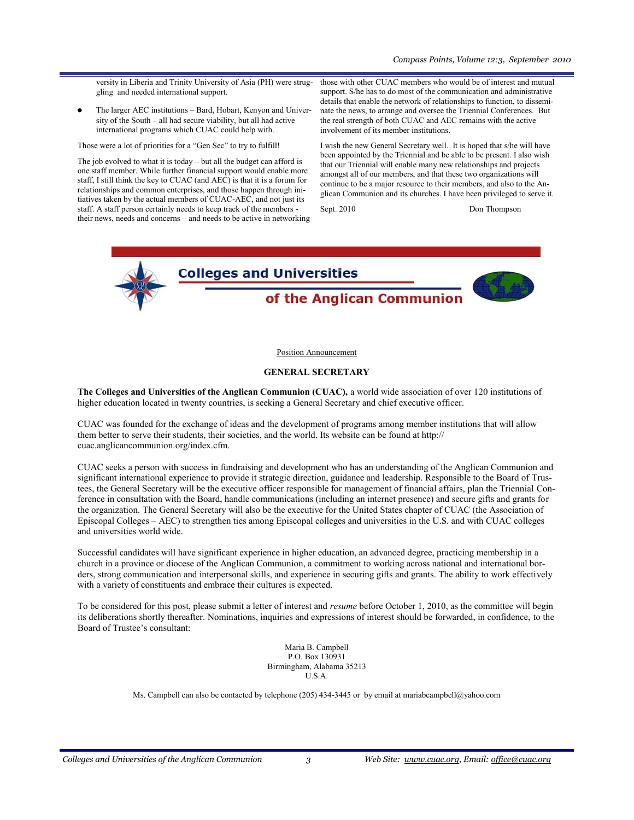versity in Liberia and Trinity University of Asia (PH) were struggling and needed international support.

The larger AEC institutions – Bard, Hobart, Kenyon and University of the South – all had secure viability, but all had active international programs which CUAC could help with.

Those were a lot of priorities for a "Gen Sec" to try to fulfill!

The job evolved to what it is today – but all the budget can afford is one staff member. While further financial support would enable more staff, I still think the key to CUAC (and AEC) is that it is a forum for relationships and common enterprises, and those happen through initiatives taken by the actual members of CUAC-AEC, and not just its staff. A staff person certainly needs to keep track of the members their news, needs and concerns – and needs to be active in networking those with other CUAC members who would be of interest and mutual support. S/he has to do most of the communication and administrative details that enable the network of relationships to function, to disseminate the news, to arrange and oversee the Triennial Conferences. But the real strength of both CUAC and AEC remains with the active involvement of its member institutions.

I wish the new General Secretary well. It is hoped that s/he will have been appointed by the Triennial and be able to be present. I also wish that our Triennial will enable many new relationships and projects amongst all of our members, and that these two organizations will continue to be a major resource to their members, and also to the Anglican Communion and its churches. I have been privileged to serve it.

Sept. 2010 Don Thompson



Position Announcement

### **GENERAL SECRETARY**

**The Colleges and Universities of the Anglican Communion (CUAC),** a world wide association of over 120 institutions of higher education located in twenty countries, is seeking a General Secretary and chief executive officer.

CUAC was founded for the exchange of ideas and the development of programs among member institutions that will allow them better to serve their students, their societies, and the world. Its website can be found at http:// cuac.anglicancommunion.org/index.cfm.

CUAC seeks a person with success in fundraising and development who has an understanding of the Anglican Communion and significant international experience to provide it strategic direction, guidance and leadership. Responsible to the Board of Trustees, the General Secretary will be the executive officer responsible for management of financial affairs, plan the Triennial Conference in consultation with the Board, handle communications (including an internet presence) and secure gifts and grants for the organization. The General Secretary will also be the executive for the United States chapter of CUAC (the Association of Episcopal Colleges – AEC) to strengthen ties among Episcopal colleges and universities in the U.S. and with CUAC colleges and universities world wide.

Successful candidates will have significant experience in higher education, an advanced degree, practicing membership in a church in a province or diocese of the Anglican Communion, a commitment to working across national and international borders, strong communication and interpersonal skills, and experience in securing gifts and grants. The ability to work effectively with a variety of constituents and embrace their cultures is expected.

To be considered for this post, please submit a letter of interest and *resume* before October 1, 2010, as the committee will begin its deliberations shortly thereafter. Nominations, inquiries and expressions of interest should be forwarded, in confidence, to the Board of Trustee's consultant:

> Maria B. Campbell P.O. Box 130931 Birmingham, Alabama 35213 U.S.A.

Ms. Campbell can also be contacted by telephone (205) 434-3445 or by email at mariabcampbell@yahoo.com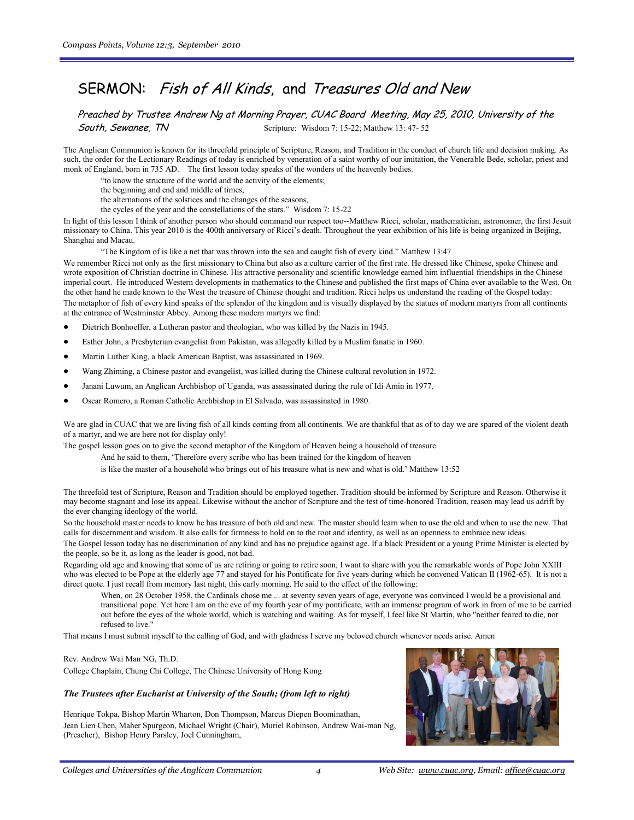### SERMON: Fish of All Kinds, and Treasures Old and New

Preached by Trustee Andrew Ng at Morning Prayer, CUAC Board Meeting, May 25, 2010, University of the **South, Sewanee, TN** Scripture: Wisdom 7: 15-22; Matthew 13: 47- 52

The Anglican Communion is known for its threefold principle of Scripture, Reason, and Tradition in the conduct of church life and decision making. As such, the order for the Lectionary Readings of today is enriched by veneration of a saint worthy of our imitation, the Venerable Bede, scholar, priest and monk of England, born in 735 AD. The first lesson today speaks of the wonders of the heavenly bodies.

"to know the structure of the world and the activity of the elements;

the beginning and end and middle of times,

the alternations of the solstices and the changes of the seasons,

the cycles of the year and the constellations of the stars." Wisdom 7: 15-22

In light of this lesson I think of another person who should command our respect too--Matthew Ricci, scholar, mathematician, astronomer, the first Jesuit missionary to China. This year 2010 is the 400th anniversary of Ricci"s death. Throughout the year exhibition of his life is being organized in Beijing, Shanghai and Macau.

"The Kingdom of is like a net that was thrown into the sea and caught fish of every kind." Matthew 13:47

We remember Ricci not only as the first missionary to China but also as a culture carrier of the first rate. He dressed like Chinese, spoke Chinese and wrote exposition of Christian doctrine in Chinese. His attractive personality and scientific knowledge earned him influential friendships in the Chinese imperial court. He introduced Western developments in mathematics to the Chinese and published the first maps of China ever available to the West. On the other hand he made known to the West the treasure of Chinese thought and tradition. Ricci helps us understand the reading of the Gospel today: The metaphor of fish of every kind speaks of the splendor of the kingdom and is visually displayed by the statues of modern martyrs from all continents at the entrance of Westminster Abbey. Among these modern martyrs we find:

- Dietrich Bonhoeffer, a Lutheran pastor and theologian, who was killed by the Nazis in 1945.
- Esther John, a Presbyterian evangelist from Pakistan, was allegedly killed by a Muslim fanatic in 1960.
- $\bullet$ Martin Luther King, a black American Baptist, was assassinated in 1969.
- Wang Zhiming, a Chinese pastor and evangelist, was killed during the Chinese cultural revolution in 1972.  $\bullet$
- Janani Luwum, an Anglican Archbishop of Uganda, was assassinated during the rule of Idi Amin in 1977.
- Oscar Romero, a Roman Catholic Archbishop in El Salvado, was assassinated in 1980.

We are glad in CUAC that we are living fish of all kinds coming from all continents. We are thankful that as of to day we are spared of the violent death of a martyr, and we are here not for display only!

The gospel lesson goes on to give the second metaphor of the Kingdom of Heaven being a household of treasure.

And he said to them, "Therefore every scribe who has been trained for the kingdom of heaven

is like the master of a household who brings out of his treasure what is new and what is old." Matthew 13:52

The threefold test of Scripture, Reason and Tradition should be employed together. Tradition should be informed by Scripture and Reason. Otherwise it may become stagnant and lose its appeal. Likewise without the anchor of Scripture and the test of time-honored Tradition, reason may lead us adrift by the ever changing ideology of the world.

So the household master needs to know he has treasure of both old and new. The master should learn when to use the old and when to use the new. That calls for discernment and wisdom. It also calls for firmness to hold on to the root and identity, as well as an openness to embrace new ideas.

The Gospel lesson today has no discrimination of any kind and has no prejudice against age. If a black President or a young Prime Minister is elected by the people, so be it, as long as the leader is good, not bad.

Regarding old age and knowing that some of us are retiring or going to retire soon, I want to share with you the remarkable words of Pope John XXIII who was elected to be Pope at the elderly age 77 and stayed for his Pontificate for five years during which he convened Vatican II (1962-65). It is not a direct quote. I just recall from memory last night, this early morning. He said to the effect of the following:

When, on 28 October 1958, the Cardinals chose me ... at seventy seven years of age, everyone was convinced I would be a provisional and transitional pope. Yet here I am on the eve of my fourth year of my pontificate, with an immense program of work in from of me to be carried out before the eyes of the whole world, which is watching and waiting. As for myself, I feel like St Martin, who "neither feared to die, nor refused to live."

That means I must submit myself to the calling of God, and with gladness I serve my beloved church whenever needs arise. Amen

Rev. Andrew Wai Man NG, Th.D. College Chaplain, Chung Chi College, The Chinese University of Hong Kong

#### *The Trustees after Eucharist at University of the South; (from left to right)*

Henrique Tokpa, Bishop Martin Wharton, Don Thompson, Marcus Diepen Boominathan, Jean Lien Chen, Maher Spurgeon, Michael Wright (Chair), Muriel Robinson, Andrew Wai-man Ng, (Preacher), Bishop Henry Parsley, Joel Cunningham,

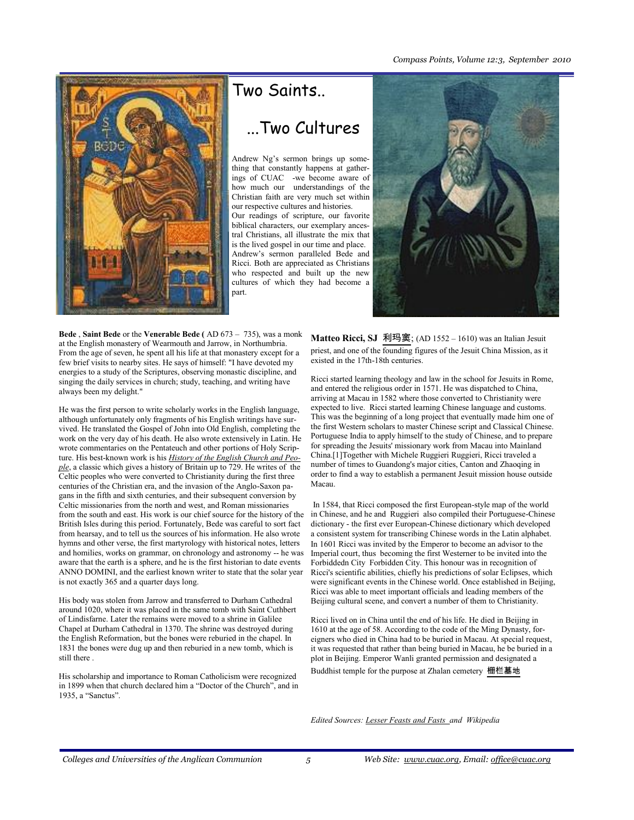#### *Compass Points, Volume 12:3, September 2010*



# Two Saints.. ...Two Cultures

Andrew Ng"s sermon brings up something that constantly happens at gatherings of CUAC -we become aware of how much our understandings of the Christian faith are very much set within our respective cultures and histories. Our readings of scripture, our favorite biblical characters, our exemplary ancestral Christians, all illustrate the mix that is the lived gospel in our time and place. Andrew"s sermon paralleled Bede and Ricci. Both are appreciated as Christians who respected and built up the new cultures of which they had become a part.



**Bede** , **Saint Bede** or the **Venerable Bede (** AD 673 – 735), was a monk at the English monastery of Wearmouth and Jarrow, in Northumbria. From the age of seven, he spent all his life at that monastery except for a few brief visits to nearby sites. He says of himself: "I have devoted my energies to a study of the Scriptures, observing monastic discipline, and singing the daily services in church; study, teaching, and writing have always been my delight."

He was the first person to write scholarly works in the English language, although unfortunately only fragments of his English writings have survived. He translated the Gospel of John into Old English, completing the work on the very day of his death. He also wrote extensively in Latin. He wrote commentaries on the Pentateuch and other portions of Holy Scripture. His best-known work is his *[History of the English Church and Peo](http://www.amazon.com/exec/obidos/ISBN=014044565X/bookofcommonprayA/)[ple](http://www.amazon.com/exec/obidos/ISBN=014044565X/bookofcommonprayA/)*, a classic which gives a history of Britain up to 729. He writes of the Celtic peoples who were converted to Christianity during the first three centuries of the Christian era, and the invasion of the Anglo-Saxon pagans in the fifth and sixth centuries, and their subsequent conversion by Celtic missionaries from the north and west, and Roman missionaries from the south and east. His work is our chief source for the history of the British Isles during this period. Fortunately, Bede was careful to sort fact from hearsay, and to tell us the sources of his information. He also wrote hymns and other verse, the first martyrology with historical notes, letters and homilies, works on grammar, on chronology and astronomy -- he was aware that the earth is a sphere, and he is the first historian to date events ANNO DOMINI, and the earliest known writer to state that the solar year is not exactly 365 and a quarter days long.

His body was stolen from Jarrow and transferred to Durham Cathedral around 1020, where it was placed in the same tomb with Saint [Cuthbert](http://en.wikipedia.org/wiki/Cuthbert_of_Lindisfarne)  [of Lindisfarne.](http://en.wikipedia.org/wiki/Cuthbert_of_Lindisfarne) Later the remains were moved to a shrine in [Galilee](http://en.wikipedia.org/wiki/Durham_Cathedral)  [Chapel](http://en.wikipedia.org/wiki/Durham_Cathedral) at Durham Cathedral in 1370. The shrine was destroyed during the English Reformation, but the bones were reburied in the chapel. In 1831 the bones were dug up and then reburied in a new tomb, which is still there .

His scholarship and importance to Roman Catholicism were recognized in 1899 when that church declared him a "[Doctor of the Church",](http://en.wikipedia.org/wiki/Doctor_of_the_Church) and in 1935, a "Sanctus".

**Matteo Ricci, SJ** [利玛](http://en.wiktionary.org/wiki/%E5%88%A9)[窦](http://en.wiktionary.org/wiki/%E7%AA%A6); (AD 1552 – 1610) was an Italian Jesuit priest, and one of the founding figures of the [Jesuit China Mission,](http://en.wikipedia.org/wiki/Jesuit_China_missions) as it existed in the 17th-18th centuries.

Ricci started learning theology and law in the school for Jesuits in Rome, and entered the religious order in 1571. He was dispatched to China, arriving at Macau in 1582 where those converted to Christianity were expected to live. Ricci started learning Chinese language and customs. This was the beginning of a long project that eventually made him one of the first Western scholars to master Chinese script and Classical Chinese. [Portuguese India](http://en.wikipedia.org/wiki/Portuguese_India) to apply himself to the study of Chinese, and to prepare for spreading the Jesuits' missionary work from Macau into [Mainland](http://en.wikipedia.org/wiki/Mainland_China)  [China.](http://en.wikipedia.org/wiki/Mainland_China)[\[1\]To](http://en.wikipedia.org/wiki/Matteo_Ricci#cite_note-0#cite_note-0)gether with [Michele Ruggieri R](http://en.wikipedia.org/wiki/Michele_Ruggieri)uggieri, Ricci traveled a number of times to Guandong's major cities, [Canton a](http://en.wikipedia.org/wiki/Guangzhou)nd [Zhaoqing i](http://en.wikipedia.org/wiki/Zhaoqing)n order to find a way to establish a permanent Jesuit mission house outside Macau.

In 1584, that Ricci composed the first European-style map of the world in Chinese, and he and Ruggieri also compiled their Portuguese-Chinese dictionary - the first ever European-Chinese dictionary which developed a consistent system for transcribing Chinese words in the Latin alphabet. In 1601 Ricci was invited by the Emperor to become an advisor to the Imperial court, thus becoming the first Westerner to be invited into the Forbiddedn City [Forbidden City.](http://en.wikipedia.org/wiki/Forbidden_City) This honour was in recognition of Ricci's scientific abilities, chiefly his predictions of solar Eclipses, which were significant events in the Chinese world. Once established in Beijing, Ricci was able to meet important officials and leading members of the Beijing cultural scene, and convert a number of them to Christianity.

Ricci lived on in China until the end of his life. He died in Beijing in 1610 at the age of 58. According to the code of the Ming Dynasty, foreigners who died in China had to be buried in Macau. At special request, it was requested that rather than being buried in Macau, he be buried in a plot in Beijing. Emperor Wanli granted permission and designated a Buddhist temple for the purpose at Zhalan cemetery [栅栏](http://en.wiktionary.org/wiki/%E6%A0%85)[墓](http://en.wiktionary.org/wiki/%E6%A0%8F)[地](http://en.wiktionary.org/wiki/%E5%A2%93)

*Edited Sources: Lesser Feasts and Fasts and Wikipedia*